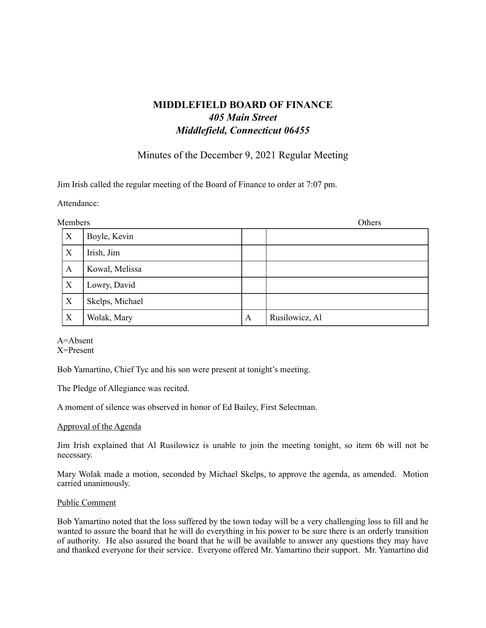# **MIDDLEFIELD BOARD OF FINANCE** *405 Main Street Middlefield, Connecticut 06455*

Minutes of the December 9, 2021 Regular Meeting

Jim Irish called the regular meeting of the Board of Finance to order at 7:07 pm.

Attendance:

| Members      |                 | Others |                |
|--------------|-----------------|--------|----------------|
| X            | Boyle, Kevin    |        |                |
| X            | Irish, Jim      |        |                |
| $\mathbf{A}$ | Kowal, Melissa  |        |                |
| X            | Lowry, David    |        |                |
| X            | Skelps, Michael |        |                |
| X            | Wolak, Mary     | A      | Rusilowicz, Al |

A=Absent X=Present

Bob Yamartino, Chief Tyc and his son were present at tonight's meeting.

The Pledge of Allegiance was recited.

A moment of silence was observed in honor of Ed Bailey, First Selectman.

## Approval of the Agenda

Jim Irish explained that Al Rusilowicz is unable to join the meeting tonight, so item 6b will not be necessary.

Mary Wolak made a motion, seconded by Michael Skelps, to approve the agenda, as amended. Motion carried unanimously.

## Public Comment

Bob Yamartino noted that the loss suffered by the town today will be a very challenging loss to fill and he wanted to assure the board that he will do everything in his power to be sure there is an orderly transition of authority. He also assured the board that he will be available to answer any questions they may have and thanked everyone for their service. Everyone offered Mr. Yamartino their support. Mr. Yamartino did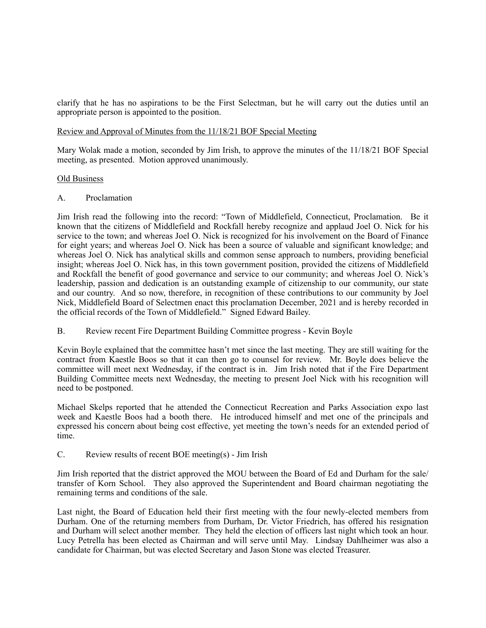clarify that he has no aspirations to be the First Selectman, but he will carry out the duties until an appropriate person is appointed to the position.

## Review and Approval of Minutes from the 11/18/21 BOF Special Meeting

Mary Wolak made a motion, seconded by Jim Irish, to approve the minutes of the 11/18/21 BOF Special meeting, as presented. Motion approved unanimously.

### Old Business

### A. Proclamation

Jim Irish read the following into the record: "Town of Middlefield, Connecticut, Proclamation. Be it known that the citizens of Middlefield and Rockfall hereby recognize and applaud Joel O. Nick for his service to the town; and whereas Joel O. Nick is recognized for his involvement on the Board of Finance for eight years; and whereas Joel O. Nick has been a source of valuable and significant knowledge; and whereas Joel O. Nick has analytical skills and common sense approach to numbers, providing beneficial insight; whereas Joel O. Nick has, in this town government position, provided the citizens of Middlefield and Rockfall the benefit of good governance and service to our community; and whereas Joel O. Nick's leadership, passion and dedication is an outstanding example of citizenship to our community, our state and our country. And so now, therefore, in recognition of these contributions to our community by Joel Nick, Middlefield Board of Selectmen enact this proclamation December, 2021 and is hereby recorded in the official records of the Town of Middlefield." Signed Edward Bailey.

B. Review recent Fire Department Building Committee progress - Kevin Boyle

Kevin Boyle explained that the committee hasn't met since the last meeting. They are still waiting for the contract from Kaestle Boos so that it can then go to counsel for review. Mr. Boyle does believe the committee will meet next Wednesday, if the contract is in. Jim Irish noted that if the Fire Department Building Committee meets next Wednesday, the meeting to present Joel Nick with his recognition will need to be postponed.

Michael Skelps reported that he attended the Connecticut Recreation and Parks Association expo last week and Kaestle Boos had a booth there. He introduced himself and met one of the principals and expressed his concern about being cost effective, yet meeting the town's needs for an extended period of time.

C. Review results of recent BOE meeting(s) - Jim Irish

Jim Irish reported that the district approved the MOU between the Board of Ed and Durham for the sale/ transfer of Korn School. They also approved the Superintendent and Board chairman negotiating the remaining terms and conditions of the sale.

Last night, the Board of Education held their first meeting with the four newly-elected members from Durham. One of the returning members from Durham, Dr. Victor Friedrich, has offered his resignation and Durham will select another member. They held the election of officers last night which took an hour. Lucy Petrella has been elected as Chairman and will serve until May. Lindsay Dahlheimer was also a candidate for Chairman, but was elected Secretary and Jason Stone was elected Treasurer.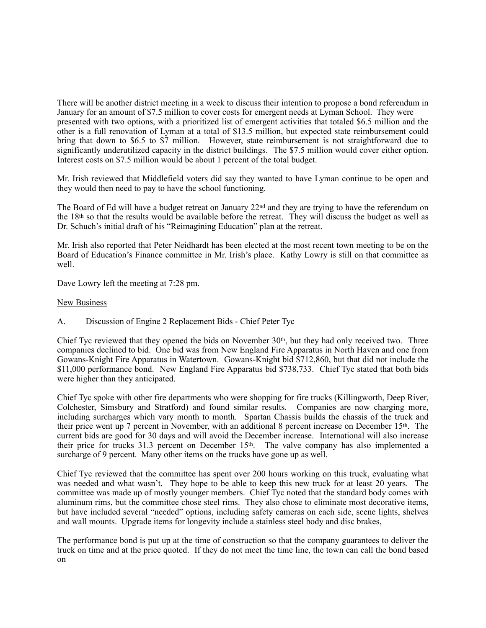There will be another district meeting in a week to discuss their intention to propose a bond referendum in January for an amount of \$7.5 million to cover costs for emergent needs at Lyman School. They were presented with two options, with a prioritized list of emergent activities that totaled \$6.5 million and the other is a full renovation of Lyman at a total of \$13.5 million, but expected state reimbursement could bring that down to \$6.5 to \$7 million. However, state reimbursement is not straightforward due to significantly underutilized capacity in the district buildings. The \$7.5 million would cover either option. Interest costs on \$7.5 million would be about 1 percent of the total budget.

Mr. Irish reviewed that Middlefield voters did say they wanted to have Lyman continue to be open and they would then need to pay to have the school functioning.

The Board of Ed will have a budget retreat on January  $22<sup>nd</sup>$  and they are trying to have the referendum on the 18th so that the results would be available before the retreat. They will discuss the budget as well as Dr. Schuch's initial draft of his "Reimagining Education" plan at the retreat.

Mr. Irish also reported that Peter Neidhardt has been elected at the most recent town meeting to be on the Board of Education's Finance committee in Mr. Irish's place. Kathy Lowry is still on that committee as well.

Dave Lowry left the meeting at 7:28 pm.

#### New Business

## A. Discussion of Engine 2 Replacement Bids - Chief Peter Tyc

Chief Tyc reviewed that they opened the bids on November 30<sup>th</sup>, but they had only received two. Three companies declined to bid. One bid was from New England Fire Apparatus in North Haven and one from Gowans-Knight Fire Apparatus in Watertown. Gowans-Knight bid \$712,860, but that did not include the \$11,000 performance bond. New England Fire Apparatus bid \$738,733. Chief Tyc stated that both bids were higher than they anticipated.

Chief Tyc spoke with other fire departments who were shopping for fire trucks (Killingworth, Deep River, Colchester, Simsbury and Stratford) and found similar results. Companies are now charging more, including surcharges which vary month to month. Spartan Chassis builds the chassis of the truck and their price went up 7 percent in November, with an additional 8 percent increase on December 15th. The current bids are good for 30 days and will avoid the December increase. International will also increase their price for trucks 31.3 percent on December 15th. The valve company has also implemented a surcharge of 9 percent. Many other items on the trucks have gone up as well.

Chief Tyc reviewed that the committee has spent over 200 hours working on this truck, evaluating what was needed and what wasn't. They hope to be able to keep this new truck for at least 20 years. The committee was made up of mostly younger members. Chief Tyc noted that the standard body comes with aluminum rims, but the committee chose steel rims. They also chose to eliminate most decorative items, but have included several "needed" options, including safety cameras on each side, scene lights, shelves and wall mounts. Upgrade items for longevity include a stainless steel body and disc brakes,

The performance bond is put up at the time of construction so that the company guarantees to deliver the truck on time and at the price quoted. If they do not meet the time line, the town can call the bond based on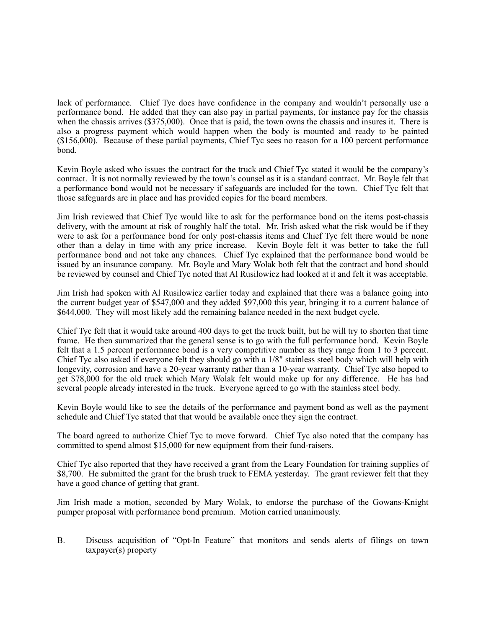lack of performance. Chief Tyc does have confidence in the company and wouldn't personally use a performance bond. He added that they can also pay in partial payments, for instance pay for the chassis when the chassis arrives (\$375,000). Once that is paid, the town owns the chassis and insures it. There is also a progress payment which would happen when the body is mounted and ready to be painted (\$156,000). Because of these partial payments, Chief Tyc sees no reason for a 100 percent performance bond.

Kevin Boyle asked who issues the contract for the truck and Chief Tyc stated it would be the company's contract. It is not normally reviewed by the town's counsel as it is a standard contract. Mr. Boyle felt that a performance bond would not be necessary if safeguards are included for the town. Chief Tyc felt that those safeguards are in place and has provided copies for the board members.

Jim Irish reviewed that Chief Tyc would like to ask for the performance bond on the items post-chassis delivery, with the amount at risk of roughly half the total. Mr. Irish asked what the risk would be if they were to ask for a performance bond for only post-chassis items and Chief Tyc felt there would be none other than a delay in time with any price increase. Kevin Boyle felt it was better to take the full performance bond and not take any chances. Chief Tyc explained that the performance bond would be issued by an insurance company. Mr. Boyle and Mary Wolak both felt that the contract and bond should be reviewed by counsel and Chief Tyc noted that Al Rusilowicz had looked at it and felt it was acceptable.

Jim Irish had spoken with Al Rusilowicz earlier today and explained that there was a balance going into the current budget year of \$547,000 and they added \$97,000 this year, bringing it to a current balance of \$644,000. They will most likely add the remaining balance needed in the next budget cycle.

Chief Tyc felt that it would take around 400 days to get the truck built, but he will try to shorten that time frame. He then summarized that the general sense is to go with the full performance bond. Kevin Boyle felt that a 1.5 percent performance bond is a very competitive number as they range from 1 to 3 percent. Chief Tyc also asked if everyone felt they should go with a 1/8" stainless steel body which will help with longevity, corrosion and have a 20-year warranty rather than a 10-year warranty. Chief Tyc also hoped to get \$78,000 for the old truck which Mary Wolak felt would make up for any difference. He has had several people already interested in the truck. Everyone agreed to go with the stainless steel body.

Kevin Boyle would like to see the details of the performance and payment bond as well as the payment schedule and Chief Tyc stated that that would be available once they sign the contract.

The board agreed to authorize Chief Tyc to move forward. Chief Tyc also noted that the company has committed to spend almost \$15,000 for new equipment from their fund-raisers.

Chief Tyc also reported that they have received a grant from the Leary Foundation for training supplies of \$8,700. He submitted the grant for the brush truck to FEMA yesterday. The grant reviewer felt that they have a good chance of getting that grant.

Jim Irish made a motion, seconded by Mary Wolak, to endorse the purchase of the Gowans-Knight pumper proposal with performance bond premium. Motion carried unanimously.

B. Discuss acquisition of "Opt-In Feature" that monitors and sends alerts of filings on town taxpayer(s) property